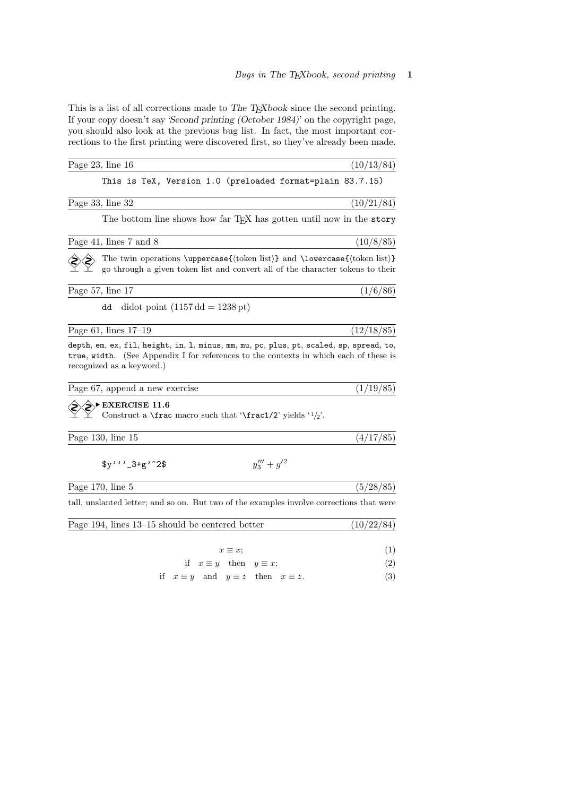This is a list of all corrections made to The TEXbook since the second printing. If your copy doesn't say 'Second printing (October 1984)' on the copyright page, you should also look at the previous bug list. In fact, the most important corrections to the first printing were discovered first, so they've already been made.

| Page $23$ , line $16$                                                                                                                                                                                         | (10/13/84) |
|---------------------------------------------------------------------------------------------------------------------------------------------------------------------------------------------------------------|------------|
| This is TeX, Version 1.0 (preloaded format=plain 83.7.15)                                                                                                                                                     |            |
| Page 33, line 32                                                                                                                                                                                              | (10/21/84) |
| The bottom line shows how far TFX has gotten until now in the story                                                                                                                                           |            |
| Page 41, lines 7 and 8                                                                                                                                                                                        | (10/8/85)  |
| The twin operations \uppercase{ $\{$ token list}} and \lowercase{ $\{$ token list}}<br>go through a given token list and convert all of the character tokens to their                                         |            |
| Page 57, line 17                                                                                                                                                                                              | (1/6/86)   |
| dd<br>didot point $(1157 \text{ dd} = 1238 \text{ pt})$                                                                                                                                                       |            |
| Page 61, lines $17-19$                                                                                                                                                                                        | (12/18/85) |
| depth, em, ex, fil, height, in, 1, minus, mm, mu, pc, plus, pt, scaled, sp, spread, to,<br>true, width. (See Appendix I for references to the contexts in which each of these is<br>recognized as a keyword.) |            |
| Page 67, append a new exercise                                                                                                                                                                                | (1/19/85)  |
| $\rightarrow$ EXERCISE 11.6<br>Construct a <b>\frac</b> macro such that <b>'\frac1/2'</b> yields $'1/2'$ .                                                                                                    |            |
| Page $130$ , line $15$                                                                                                                                                                                        | (4/17/85)  |
| $y_3''' + g^{\prime 2}$<br>$y''$ , $-3+g'$ 2\$                                                                                                                                                                |            |
| Page $170$ , line $5$                                                                                                                                                                                         | (5/28/85)  |
| tall, unslanted letter; and so on. But two of the examples involve corrections that were                                                                                                                      |            |
| Page 194, lines 13–15 should be centered better                                                                                                                                                               | (10/22/84) |
| $x \equiv x;$                                                                                                                                                                                                 | (1)        |
| if $x \equiv y$ then $y \equiv x$ ;                                                                                                                                                                           | (2)        |
| if $x \equiv y$ and $y \equiv z$ then $x \equiv z$ .                                                                                                                                                          | (3)        |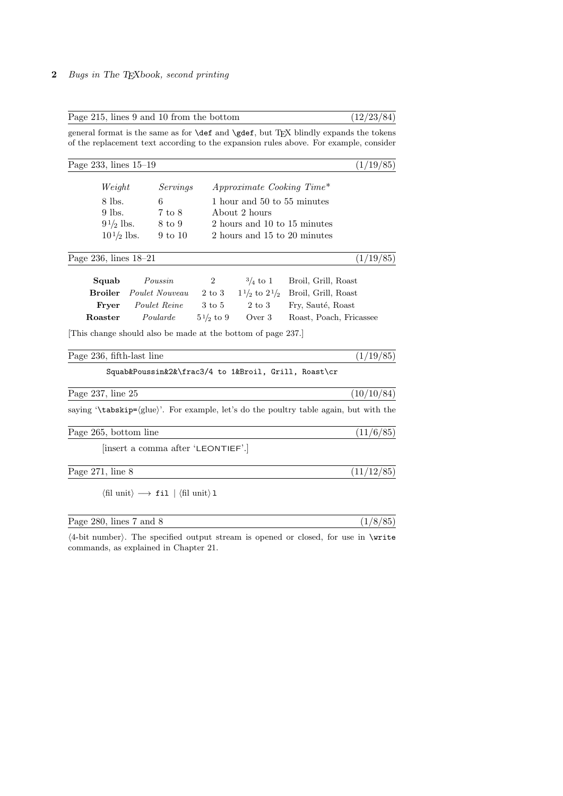| Page 233, lines $15-19$   |                                                               |                     |                                        | (1/19/85)               |
|---------------------------|---------------------------------------------------------------|---------------------|----------------------------------------|-------------------------|
| Weight                    | Servings                                                      |                     | $Approximate \, \, Cobing \, \, Time*$ |                         |
| 8 lbs.                    | 6                                                             |                     | 1 hour and 50 to 55 minutes            |                         |
| $9$ lbs.                  | 7 to 8                                                        |                     | About 2 hours                          |                         |
|                           | $9\frac{1}{2}$ lbs. 8 to 9                                    |                     | 2 hours and 10 to 15 minutes           |                         |
|                           | $10\frac{1}{2}$ lbs. 9 to 10                                  |                     | 2 hours and 15 to 20 minutes           |                         |
| Page 236, lines $18-21$   |                                                               |                     |                                        | (1/19/85)               |
| Squab                     | Poussin                                                       | $2^{\circ}$         | $\frac{3}{4}$ to 1                     | Broil, Grill, Roast     |
| <b>Broiler</b>            | <i>Poulet Nouveau</i> 2 to 3 $1\frac{1}{2}$ to $2\frac{1}{2}$ |                     |                                        | Broil, Grill, Roast     |
| Fryer                     | Poulet Reine                                                  | $3 \text{ to } 5$   | 2 to 3                                 | Fry, Sauté, Roast       |
| Roaster                   | Poularde                                                      | $5\frac{1}{2}$ to 9 | Over 3                                 | Roast, Poach, Fricassee |
|                           | This change should also be made at the bottom of page 237.    |                     |                                        |                         |
| Page 236, fifth-last line |                                                               |                     |                                        | (1/19/85)               |
|                           | Squab&Poussin&2&\frac3/4 to 1&Broil, Grill, Roast\cr          |                     |                                        |                         |
|                           |                                                               |                     |                                        |                         |

Page 215, lines 9 and 10 from the bottom (12/23/84)

Page 265, bottom line  $(11/6/85)$ 

[insert a comma after 'LEONTIEF'.]

Page 271, line 8  $(11/12/85)$ 

 $\langle$ fil unit $\rangle \longrightarrow$  fil |  $\langle$ fil unit $\rangle$  l

| Page 280, lines 7 and 8 |  |
|-------------------------|--|
|                         |  |

 $\Delta$ -bit number). The specified output stream is opened or closed, for use in \write commands, as explained in Chapter 21.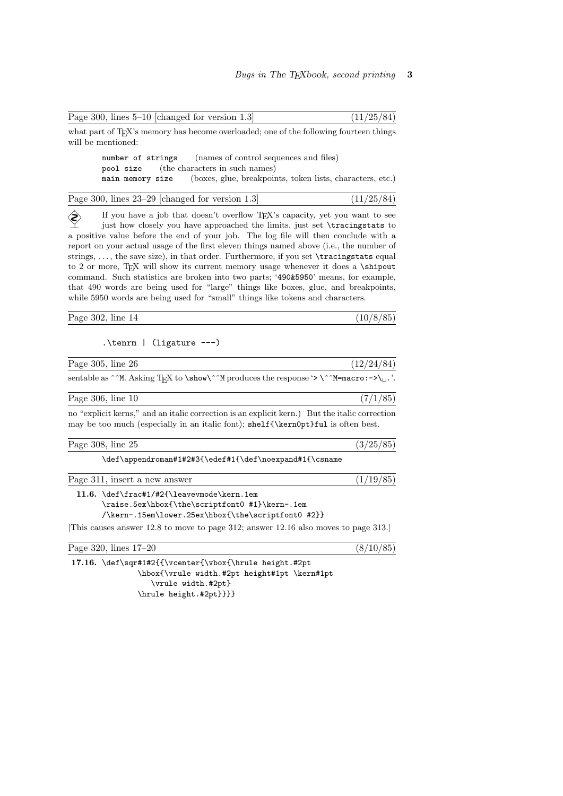| what part of T <sub>F</sub> X's memory has become overloaded; one of the following fourteen things<br>will be mentioned:                                                                                                                                                                                                                                                                                                                                                                                                                                                                                                                                                                                                                                                                             |
|------------------------------------------------------------------------------------------------------------------------------------------------------------------------------------------------------------------------------------------------------------------------------------------------------------------------------------------------------------------------------------------------------------------------------------------------------------------------------------------------------------------------------------------------------------------------------------------------------------------------------------------------------------------------------------------------------------------------------------------------------------------------------------------------------|
| number of strings<br>(names of control sequences and files)<br>(the characters in such names)<br>pool size<br>(boxes, glue, breakpoints, token lists, characters, etc.)<br>main memory size                                                                                                                                                                                                                                                                                                                                                                                                                                                                                                                                                                                                          |
| Page 300, lines $23-29$ [changed for version 1.3]<br>(11/25/84)                                                                                                                                                                                                                                                                                                                                                                                                                                                                                                                                                                                                                                                                                                                                      |
| If you have a job that doesn't overflow T <sub>E</sub> X's capacity, yet you want to see<br>just how closely you have approached the limits, just set \tracingstats to<br>a positive value before the end of your job. The log file will then conclude with a<br>report on your actual usage of the first eleven things named above (i.e., the number of<br>strings, , the save size), in that order. Furthermore, if you set \tracingstats equal<br>to 2 or more, TEX will show its current memory usage whenever it does a \shipout<br>command. Such statistics are broken into two parts; '490&5950' means, for example,<br>that 490 words are being used for "large" things like boxes, glue, and breakpoints,<br>while 5950 words are being used for "small" things like tokens and characters. |
| (10/8/85)<br>Page $302$ , line $14$                                                                                                                                                                                                                                                                                                                                                                                                                                                                                                                                                                                                                                                                                                                                                                  |
| $.\term$   (ligature ---)                                                                                                                                                                                                                                                                                                                                                                                                                                                                                                                                                                                                                                                                                                                                                                            |
| Page $305$ , line $26$<br>(12/24/84)                                                                                                                                                                                                                                                                                                                                                                                                                                                                                                                                                                                                                                                                                                                                                                 |
| sentable as ^^M. Asking TEX to \show\^^M produces the response '> \^^M=macro:->\_.'.                                                                                                                                                                                                                                                                                                                                                                                                                                                                                                                                                                                                                                                                                                                 |
| (7/1/85)<br>Page $306$ , line $10$                                                                                                                                                                                                                                                                                                                                                                                                                                                                                                                                                                                                                                                                                                                                                                   |
| no "explicit kerns," and an italic correction is an explicit kern.) But the italic correction<br>may be too much (especially in an italic font); shelf {\kern0pt}ful is often best.                                                                                                                                                                                                                                                                                                                                                                                                                                                                                                                                                                                                                  |
| (3/25/85)<br>Page $308$ , line $25$                                                                                                                                                                                                                                                                                                                                                                                                                                                                                                                                                                                                                                                                                                                                                                  |
| \def\appendroman#1#2#3{\edef#1{\def\noexpand#1{\csname                                                                                                                                                                                                                                                                                                                                                                                                                                                                                                                                                                                                                                                                                                                                               |
| (1/19/85)<br>Page 311, insert a new answer                                                                                                                                                                                                                                                                                                                                                                                                                                                                                                                                                                                                                                                                                                                                                           |
| 11.6. \def\frac#1/#2{\leavevmode\kern.1em<br>\raise.5ex\hbox{\the\scriptfont0 #1}\kern-.1em<br>/\kern-.15em\lower.25ex\hbox{\the\scriptfont0 #2}}<br>This causes answer 12.8 to move to page 312; answer 12.16 also moves to page 313.                                                                                                                                                                                                                                                                                                                                                                                                                                                                                                                                                               |
| Page 320, lines 17-20<br>(8/10/85)                                                                                                                                                                                                                                                                                                                                                                                                                                                                                                                                                                                                                                                                                                                                                                   |
| 17.16. \def\sqr#1#2{{\vcenter{\vbox{\hrule height.#2pt                                                                                                                                                                                                                                                                                                                                                                                                                                                                                                                                                                                                                                                                                                                                               |

Page 300, lines  $5-10$  [changed for version 1.3]  $(11/25/84)$ 

\hbox{\vrule width.#2pt height#1pt \kern#1pt \vrule width.#2pt} \hrule height.#2pt}}}}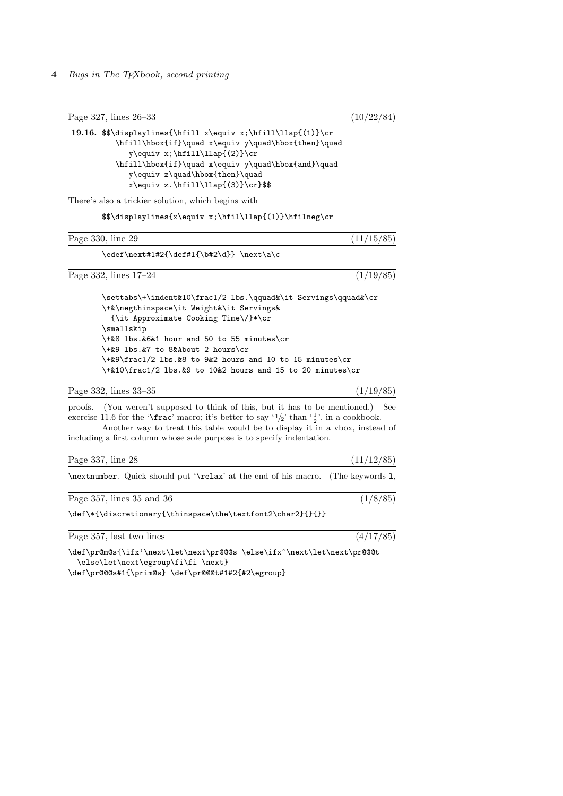4 Bugs in The TEXbook, second printing

Page 327, lines 26–33 (10/22/84) 19.16. \$\$\displaylines{\hfill x\equiv x;\hfill\llap{(1)}\cr \hfill\hbox{if}\quad x\equiv y\quad\hbox{then}\quad  $y\equiv x;\hfill\llbracket(2)\}\cr$ \hfill\hbox{if}\quad x\equiv y\quad\hbox{and}\quad y\equiv z\quad\hbox{then}\quad  $x\equiv z.\hfill\llbracket(3)\cclose\$ There's also a trickier solution, which begins with \$\$\displaylines{x\equiv x;\hfil\llap{(1)}\hfilneg\cr Page 330, line 29 (11/15/85) \edef\next#1#2{\def#1{\b#2\d}} \next\a\c Page 332, lines  $17-24$  (1/19/85) \settabs\+\indent&10\frac1/2 lbs.\qquad&\it Servings\qquad&\cr \+&\negthinspace\it Weight&\it Servings& {\it Approximate Cooking Time\/}\*\cr \smallskip \+&8 lbs.&6&1 hour and 50 to 55 minutes\cr \+&9 lbs.&7 to 8&About 2 hours\cr \+&9\frac1/2 lbs.&8 to 9&2 hours and 10 to 15 minutes\cr \+&10\frac1/2 lbs.&9 to 10&2 hours and 15 to 20 minutes\cr Page 332, lines 33–35 (1/19/85) proofs. (You weren't supposed to think of this, but it has to be mentioned.) See exercise 11.6 for the '\frac' macro; it's better to say ' $1/2$ ' than ' $\frac{1}{2}$ ', in a cookbook. Another way to treat this table would be to display it in a vbox, instead of including a first column whose sole purpose is to specify indentation. Page 337, line 28  $(11/12/85)$ \nextnumber. Quick should put '\relax' at the end of his macro. (The keywords l, Page 357, lines 35 and 36 (1/8/85) \def\\*{\discretionary{\thinspace\the\textfont2\char2}{}{}} Page 357, last two lines  $(4/17/85)$ \def\pr@m@s{\ifx'\next\let\next\pr@@@s \else\ifx^\next\let\next\pr@@@t \else\let\next\egroup\fi\fi \next}

\def\pr@@@s#1{\prim@s} \def\pr@@@t#1#2{#2\egroup}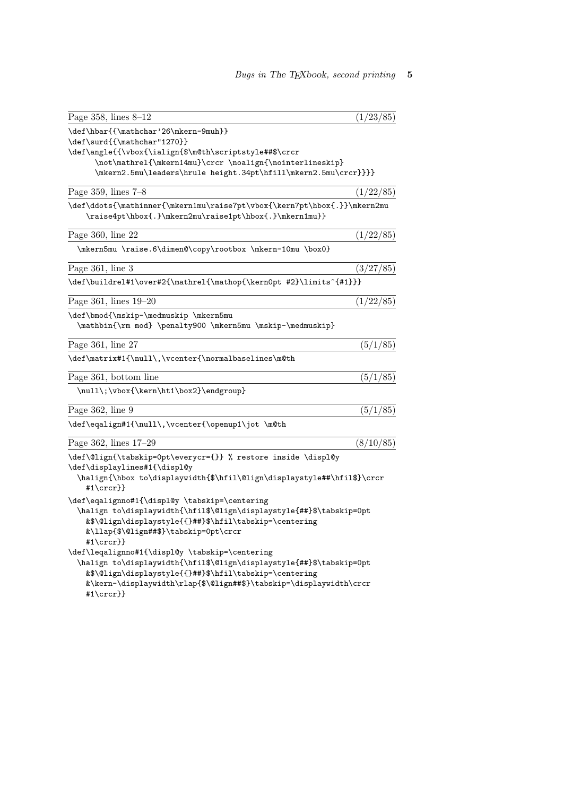| Page 358, lines $8-12$                                                                                                                                                                                                                                                                                                                                                                                                                                                                                       | (1/23/85) |
|--------------------------------------------------------------------------------------------------------------------------------------------------------------------------------------------------------------------------------------------------------------------------------------------------------------------------------------------------------------------------------------------------------------------------------------------------------------------------------------------------------------|-----------|
| \def\hbar{{\mathchar'26\mkern-9muh}}<br>\def\surd{{\mathchar"1270}}<br>\def\angle{{\vbox{\ialign{\$\m@th\scriptstyle##\$\crcr<br>\not\mathrel{\mkern14mu}\crcr \noalign{\nointerlineskip}<br>\mkern2.5mu\leaders\hrule height.34pt\hfill\mkern2.5mu\crcr}}}}                                                                                                                                                                                                                                                 |           |
| Page 359, lines $7-8$                                                                                                                                                                                                                                                                                                                                                                                                                                                                                        | (1/22/85) |
| \def\ddots{\mathinner{\mkern1mu\raise7pt\vbox{\kern7pt\hbox{.}}\mkern2mu<br>\raise4pt\hbox{.}\mkern2mu\raise1pt\hbox{.}\mkern1mu}}                                                                                                                                                                                                                                                                                                                                                                           |           |
| Page 360, line 22                                                                                                                                                                                                                                                                                                                                                                                                                                                                                            | (1/22/85) |
| \mkern5mu \raise.6\dimen@\copy\rootbox \mkern-10mu \box0}                                                                                                                                                                                                                                                                                                                                                                                                                                                    |           |
| Page $361$ , line $3$                                                                                                                                                                                                                                                                                                                                                                                                                                                                                        | (3/27/85) |
| \def\buildrel#1\over#2{\mathrel{\mathop{\kern0pt #2}\limits^{#1}}}                                                                                                                                                                                                                                                                                                                                                                                                                                           |           |
| Page 361, lines 19-20                                                                                                                                                                                                                                                                                                                                                                                                                                                                                        | (1/22/85) |
| \def\bmod{\mskip-\medmuskip \mkern5mu<br>\mathbin{\rm mod} \penalty900 \mkern5mu \mskip-\medmuskip}                                                                                                                                                                                                                                                                                                                                                                                                          |           |
| Page 361, line 27                                                                                                                                                                                                                                                                                                                                                                                                                                                                                            | (5/1/85)  |
| \def\matrix#1{\null\,\vcenter{\normalbaselines\m@th                                                                                                                                                                                                                                                                                                                                                                                                                                                          |           |
| Page 361, bottom line                                                                                                                                                                                                                                                                                                                                                                                                                                                                                        | (5/1/85)  |
| \null\;\vbox{\kern\ht1\box2}\endgroup}                                                                                                                                                                                                                                                                                                                                                                                                                                                                       |           |
| Page 362, line 9                                                                                                                                                                                                                                                                                                                                                                                                                                                                                             | (5/1/85)  |
| \def\eqalign#1{\null\,\vcenter{\openup1\jot \m@th                                                                                                                                                                                                                                                                                                                                                                                                                                                            |           |
| Page 362, lines 17-29                                                                                                                                                                                                                                                                                                                                                                                                                                                                                        | (8/10/85) |
| \def\@lign{\tabskip=0pt\everycr={}} % restore inside \displ@y<br>\def\displaylines#1{\displ@y<br>\halign{\hbox to\displaywidth{\$\hfil\@lign\displaystyle##\hfil\$}\crcr<br>#1\crcr}}                                                                                                                                                                                                                                                                                                                        |           |
| \def\eqalignno#1{\displ@y \tabskip=\centering<br>\halign to\displaywidth{\hfil\$\@lign\displaystyle{##}\$\tabskip=0pt<br>&\$\@lign\displaystyle{{}##}\$\hfil\tabskip=\centering<br>&\llap{\$\@lign##\$}\tabskip=0pt\crcr<br>#1\crcr}}<br>\def\leqalignno#1{\displ@y \tabskip=\centering<br>\halign to\displaywidth{\hfil\$\@lign\displaystyle{##}\$\tabskip=0pt<br>&\$\@lign\displaystyle{{}##}\$\hfil\tabskip=\centering<br>&\kern-\displaywidth\rlap{\$\@lign##\$}\tabskip=\displaywidth\crcr<br>#1\crcr}} |           |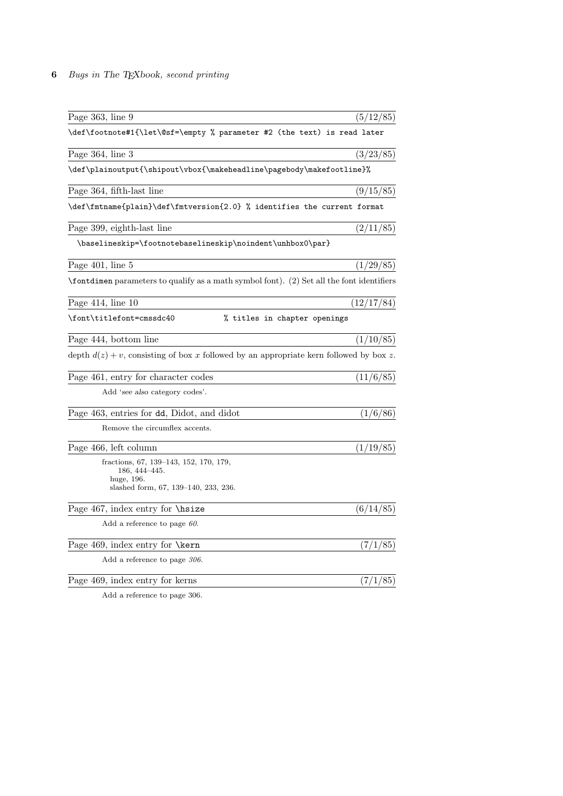## 6 Bugs in The TEXbook, second printing

| Page 363, line 9                                                                                                  | (5/12/85)  |
|-------------------------------------------------------------------------------------------------------------------|------------|
| \def\footnote#1{\let\@sf=\empty % parameter #2 (the text) is read later                                           |            |
| Page 364, line 3                                                                                                  | (3/23/85)  |
| \def\plainoutput{\shipout\vbox{\makeheadline\pagebody\makefootline}%                                              |            |
| Page 364, fifth-last line                                                                                         | (9/15/85)  |
| \def\fmtname{plain}\def\fmtversion{2.0} % identifies the current format                                           |            |
| Page 399, eighth-last line                                                                                        | (2/11/85)  |
| \baselineskip=\footnotebaselineskip\noindent\unhbox0\par}                                                         |            |
| Page $401$ , line $5$                                                                                             | (1/29/85)  |
| \fontdimen parameters to qualify as a math symbol font). (2) Set all the font identifiers                         |            |
| Page $414$ , line $10$                                                                                            | (12/17/84) |
| \font\titlefont=cmssdc40<br>% titles in chapter openings                                                          |            |
| Page 444, bottom line                                                                                             | (1/10/85)  |
| depth $d(z) + v$ , consisting of box x followed by an appropriate kern followed by box z.                         |            |
| Page 461, entry for character codes                                                                               | (11/6/85)  |
| Add 'see also category codes'.                                                                                    |            |
| Page 463, entries for dd, Didot, and didot                                                                        | (1/6/86)   |
| Remove the circumflex accents.                                                                                    |            |
| Page 466, left column                                                                                             | (1/19/85)  |
| fractions, 67, 139–143, 152, 170, 179,<br>$186, 444 - 445.$<br>huge, 196.<br>slashed form, 67, 139-140, 233, 236. |            |
| Page $467$ , index entry for $\hbar$ size                                                                         | (6/14/85)  |
| Add a reference to page $60$ .                                                                                    |            |
| Page 469, index entry for \kern                                                                                   | (7/1/85)   |
| Add a reference to page 306.                                                                                      |            |
| Page 469, index entry for kerns                                                                                   | (7/1/85)   |
|                                                                                                                   |            |

Add a reference to page 306.